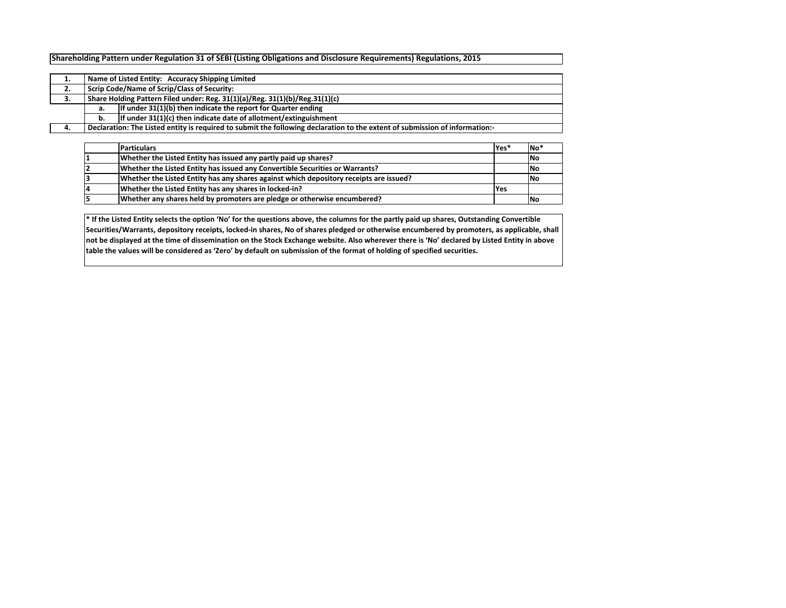## **Shareholding Pattern under Regulation 31 of SEBI (Listing Obligations and Disclosure Requirements) Regulations, 2015**

|    |                                                                             | Name of Listed Entity: Accuracy Shipping Limited                                                                            |  |  |  |  |  |  |  |  |  |  |  |
|----|-----------------------------------------------------------------------------|-----------------------------------------------------------------------------------------------------------------------------|--|--|--|--|--|--|--|--|--|--|--|
| 2. | Scrip Code/Name of Scrip/Class of Security:                                 |                                                                                                                             |  |  |  |  |  |  |  |  |  |  |  |
| З. | Share Holding Pattern Filed under: Reg. 31(1)(a)/Reg. 31(1)(b)/Reg.31(1)(c) |                                                                                                                             |  |  |  |  |  |  |  |  |  |  |  |
|    | a.                                                                          | If under 31(1)(b) then indicate the report for Quarter ending                                                               |  |  |  |  |  |  |  |  |  |  |  |
|    | b.                                                                          | If under 31(1)(c) then indicate date of allotment/extinguishment                                                            |  |  |  |  |  |  |  |  |  |  |  |
| 4. |                                                                             | Declaration: The Listed entity is required to submit the following declaration to the extent of submission of information:- |  |  |  |  |  |  |  |  |  |  |  |

| <b>Particulars</b>                                                                     | lYes*      | INo <sup>'</sup> |
|----------------------------------------------------------------------------------------|------------|------------------|
| Whether the Listed Entity has issued any partly paid up shares?                        |            | <b>NC</b>        |
| Whether the Listed Entity has issued any Convertible Securities or Warrants?           |            | <b>No</b>        |
| Whether the Listed Entity has any shares against which depository receipts are issued? |            | <b>INo</b>       |
| Whether the Listed Entity has any shares in locked-in?                                 | <b>Yes</b> |                  |
| Whether any shares held by promoters are pledge or otherwise encumbered?               |            | - No             |

**\* If the Listed Entity selects the option 'No' for the questions above, the columns for the partly paid up shares, Outstanding Convertible Securities/Warrants, depository receipts, locked‐in shares, No of shares pledged or otherwise encumbered by promoters, as applicable, shall not be displayed at the time of dissemination on the Stock Exchange website. Also wherever there is 'No' declared by Listed Entity in above table the values will be considered as 'Zero' by default on submission of the format of holding of specified securities.**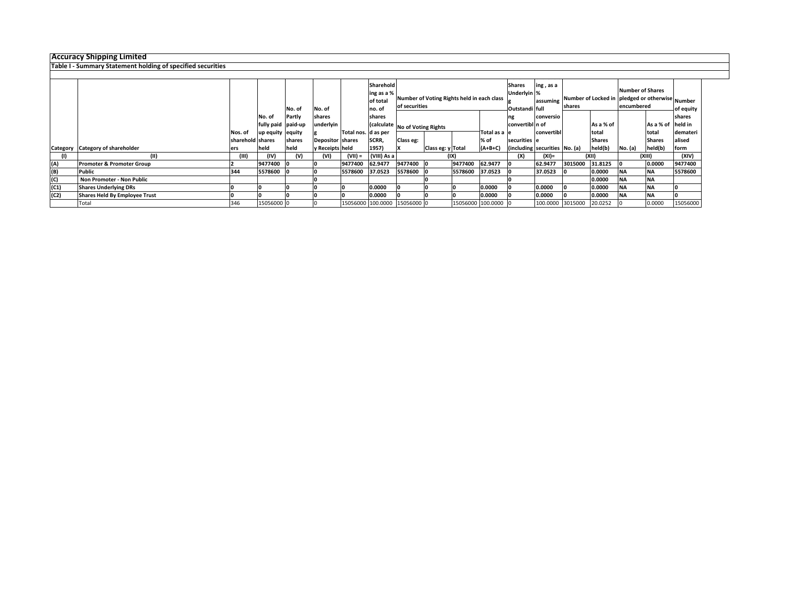## **Accuracy Shipping Li mited**

**Table I ‐ Summary Statement holding of specified securities**

|      |                                      |                  |                    |        |                         |                      | Sharehold   |                                |                                            |                 |               | <b>Shares</b>                 | ing, as a  |         |                   |                                                 |               |           |
|------|--------------------------------------|------------------|--------------------|--------|-------------------------|----------------------|-------------|--------------------------------|--------------------------------------------|-----------------|---------------|-------------------------------|------------|---------|-------------------|-------------------------------------------------|---------------|-----------|
|      |                                      |                  |                    |        |                         |                      | ing as a %  |                                |                                            |                 |               | Underlyin %                   |            |         |                   | <b>Number of Shares</b>                         |               |           |
|      |                                      |                  |                    |        |                         |                      | of total    |                                | Number of Voting Rights held in each class |                 |               |                               | assuming   |         |                   | Number of Locked in pledged or otherwise Number |               |           |
|      |                                      |                  |                    | No. of | No. of                  |                      | no. of      |                                | of securities                              |                 |               | Outstandi full                |            | shares  |                   | encumbered                                      |               | of equity |
|      |                                      |                  | No. of             | Partly | shares                  |                      | shares      |                                |                                            |                 |               | conversio                     |            |         |                   |                                                 | shares        |           |
|      |                                      |                  | fully paid paid-up |        | underlyin               |                      |             | (calculate No of Voting Rights |                                            | convertibl n of |               |                               | As a % of  |         | As a % of held in |                                                 |               |           |
|      |                                      | Nos. of          | up equity equity   |        |                         | Total nos. Id as per |             |                                |                                            |                 | Total as a le |                               | convertibl |         | total             |                                                 | total         | demateri  |
|      |                                      | sharehold shares |                    | shares | <b>Depositor shares</b> |                      | SCRR,       | Class eg:                      |                                            |                 | % of          | securities e                  |            |         | <b>Shares</b>     |                                                 | <b>Shares</b> | alised    |
|      | Category Category of shareholder     | ers              | held               | held   | y Receipts held         |                      | 1957)       |                                | Class eg: y Total                          |                 | $(A+B+C)$     | (including securities No. (a) |            |         | held(b)           | No. (a)                                         | held(b)       | form      |
|      | (11)                                 | (III)            | (IV)               | (V)    | (VI)                    | $(VII) =$            | (VIII) As a |                                |                                            | (IX)            |               | (X)                           | (XI)=      | (XII)   |                   | (XIII)                                          |               | (XIV)     |
| (A)  | <b>Promoter &amp; Promoter Group</b> |                  | 9477400            |        |                         | 9477400              | 62.9477     | 9477400                        |                                            | 9477400         | 62.9477       |                               | 62.9477    | 3015000 | 31.8125           |                                                 | 0.0000        | 9477400   |
| (B)  | Public                               | 344              | 5578600            |        |                         | 5578600              | 37.0523     | 5578600 0                      |                                            | 5578600         | 37.0523       |                               | 37.0523    |         | 0.0000            | <b>NA</b>                                       | <b>INA</b>    | 5578600   |
| (C)  | Non Promoter - Non Public            |                  |                    |        |                         |                      |             |                                |                                            |                 |               |                               |            |         | 0.0000            | <b>NA</b>                                       | <b>INA</b>    |           |
| (C1) | <b>Shares Underlying DRs</b>         |                  |                    |        |                         |                      | 0.0000      |                                |                                            |                 | 0.0000        |                               | 0.0000     |         | 0.0000            | <b>INA</b>                                      | <b>INA</b>    |           |
| (C2) | <b>Shares Held By Employee Trust</b> |                  |                    |        |                         |                      | 0.0000      |                                |                                            |                 | 0.0000        |                               | 0.0000     |         | 0.0000            | <b>NA</b>                                       | <b>NA</b>     |           |
|      | Total                                | 346              | 15056000 0         |        |                         |                      |             | 15056000 100.0000 15056000 0   |                                            | 15056000        | 100.0000 0    |                               | 100.0000   | 3015000 | 20.0252           |                                                 | 0.0000        | 15056000  |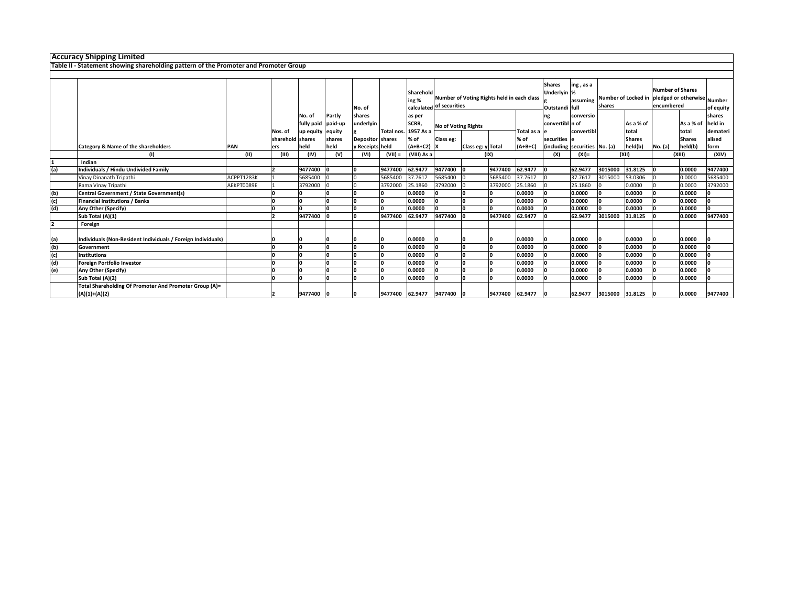|     | <b>Accuracy Shipping Limited</b>                                                     |            |                  |                  |         |                  |                      |                                  |                            |                                            |                 |              |                                                |                               |         |                                                 |         |                                       |           |
|-----|--------------------------------------------------------------------------------------|------------|------------------|------------------|---------|------------------|----------------------|----------------------------------|----------------------------|--------------------------------------------|-----------------|--------------|------------------------------------------------|-------------------------------|---------|-------------------------------------------------|---------|---------------------------------------|-----------|
|     |                                                                                      |            |                  |                  |         |                  |                      |                                  |                            |                                            |                 |              |                                                |                               |         |                                                 |         |                                       |           |
|     | Table II - Statement showing shareholding pattern of the Promoter and Promoter Group |            |                  |                  |         |                  |                      |                                  |                            |                                            |                 |              |                                                |                               |         |                                                 |         |                                       |           |
|     |                                                                                      |            |                  |                  |         |                  |                      |                                  |                            |                                            |                 |              |                                                |                               |         |                                                 |         |                                       |           |
|     |                                                                                      |            |                  |                  |         | No. of           |                      | Sharehold<br>ing %<br>calculated | of securities              | Number of Voting Rights held in each class |                 |              | <b>Shares</b><br>Underlyin %<br>Outstandi full | ing, as a<br>assuming         | shares  | Number of Locked in pledged or otherwise Number |         | <b>Number of Shares</b><br>encumbered | of equity |
|     |                                                                                      |            |                  | No. of           | Partly  | shares           |                      | as per                           |                            |                                            |                 |              | ng                                             | conversio                     |         |                                                 |         |                                       | shares    |
|     |                                                                                      |            |                  | fully paid       | paid-up | underlyin        |                      | SCRR,                            | <b>No of Voting Rights</b> |                                            |                 |              | convertibl n of                                |                               |         | As a % of                                       |         | As a % of                             | held in   |
|     |                                                                                      |            | Nos. of          | up equity equity |         |                  | Total nos. 1957 As a |                                  |                            |                                            |                 | Total as a e |                                                | convertibl                    |         | total                                           |         | total                                 | demateri  |
|     |                                                                                      |            | sharehold shares |                  | shares  | Depositor shares |                      | % of                             | Class eg:                  |                                            |                 | % of         | securities e                                   |                               |         | <b>Shares</b>                                   |         | <b>Shares</b>                         | alised    |
|     | Category & Name of the shareholders                                                  | <b>PAN</b> | ers              | held             | held    | y Receipts held  |                      | $(A+B+C2)$ X                     |                            | Class eg: y Total                          |                 | $(A+B+C)$    |                                                | (including securities No. (a) |         | held(b)                                         | No. (a) | held(b)                               | form      |
|     | (1)                                                                                  | (II)       | (III)            | (IV)             | (V)     | (VI)             | $(VII) =$            | (VIII) As a                      | (IX)                       |                                            |                 | (X)          | $(XI)$ =                                       | (XII)                         |         | (XIII)                                          |         | (XIV)                                 |           |
|     | Indian                                                                               |            |                  |                  |         |                  |                      |                                  |                            |                                            |                 |              |                                                |                               |         |                                                 |         |                                       |           |
| (a) | Individuals / Hindu Undivided Family                                                 |            |                  | 9477400          |         | n                | 9477400              | 62.9477                          | 9477400                    |                                            | 9477400         | 62.9477      | ١n                                             | 62.9477                       | 3015000 | 31.8125                                         |         | 0.0000                                | 9477400   |
|     | Vinay Dinanath Tripathi                                                              | ACPPT1283K |                  | 5685400          |         |                  | 5685400              | 37.7617                          | 5685400                    |                                            | 5685400         | 37.7617      |                                                | 37.7617                       | 3015000 | 53.0306                                         |         | 0.0000                                | 5685400   |
|     | Rama Vinav Tripathi                                                                  | AEKPT0089E |                  | 3792000          |         |                  | 3792000              | 25.1860                          | 3792000                    |                                            | 3792000         | 25.1860      |                                                | 25.1860                       |         | 0.0000                                          |         | 0.0000                                | 3792000   |
| (b) | <b>Central Government / State Government(s)</b>                                      |            |                  |                  | ١o      | O                |                      | 0.0000                           |                            |                                            |                 | 0.0000       |                                                | 0.0000                        |         | 0.0000                                          |         | 0.0000                                |           |
| (c) | <b>Financial Institutions / Banks</b>                                                |            |                  | I٥               | In      |                  |                      | 0.0000                           |                            |                                            | n               | 0.0000       |                                                | 0.0000                        |         | 0.0000                                          |         | 0.0000                                |           |
| (d) | Any Other (Specify)                                                                  |            |                  |                  |         |                  |                      | 0.0000                           | ١n                         |                                            | n               | 0.0000       |                                                | 0.0000                        |         | 0.0000                                          |         | 0.0000                                | I∩        |
|     | Sub Total (A)(1)                                                                     |            |                  | 9477400          |         |                  | 9477400              | 62.9477                          | 9477400                    |                                            | 9477400         | 62.9477      |                                                | 62.9477                       | 3015000 | 31.8125                                         |         | 0.0000                                | 9477400   |
|     | Foreign                                                                              |            |                  |                  |         |                  |                      |                                  |                            |                                            |                 |              |                                                |                               |         |                                                 |         |                                       |           |
| (a) | Individuals (Non-Resident Individuals / Foreign Individuals)                         |            |                  |                  |         |                  |                      | 0.0000                           |                            |                                            |                 | 0.0000       |                                                | 0.0000                        |         | 0.0000                                          |         | 0.0000                                |           |
| (b) | Government                                                                           |            |                  |                  |         |                  |                      | 0.0000                           |                            |                                            |                 | 0.0000       |                                                | 0.0000                        |         | 0.0000                                          |         | 0.0000                                |           |
| (c) | <b>Institutions</b>                                                                  |            |                  |                  |         |                  |                      | 0.0000                           |                            |                                            |                 | 0.0000       |                                                | 0.0000                        |         | 0.0000                                          |         | 0.0000                                |           |
| (d) | Foreign Portfolio Investor                                                           |            |                  |                  | o       | I۵               | I∩                   | 0.0000                           |                            |                                            |                 | 0.0000       |                                                | 0.0000                        |         | 0.0000                                          |         | 0.0000                                |           |
| (e) | Any Other (Specify)                                                                  |            |                  |                  | o       |                  |                      | 0.0000                           |                            |                                            | n               | 0.0000       |                                                | 0.0000                        |         | 0.0000                                          |         | 0.0000                                |           |
|     | Sub Total (A)(2)                                                                     |            |                  |                  | In      |                  |                      | 0.0000                           |                            |                                            |                 | 0.0000       |                                                | 0.0000                        |         | 0.0000                                          |         | 0.0000                                |           |
|     | Total Shareholding Of Promoter And Promoter Group (A)=<br>$(A)(1)+(A)(2)$            |            |                  | 9477400          |         | O                | 9477400 62.9477      |                                  | 9477400                    |                                            | 9477400 62.9477 |              |                                                | 62.9477                       | 3015000 | 31.8125                                         |         | 0.0000                                | 9477400   |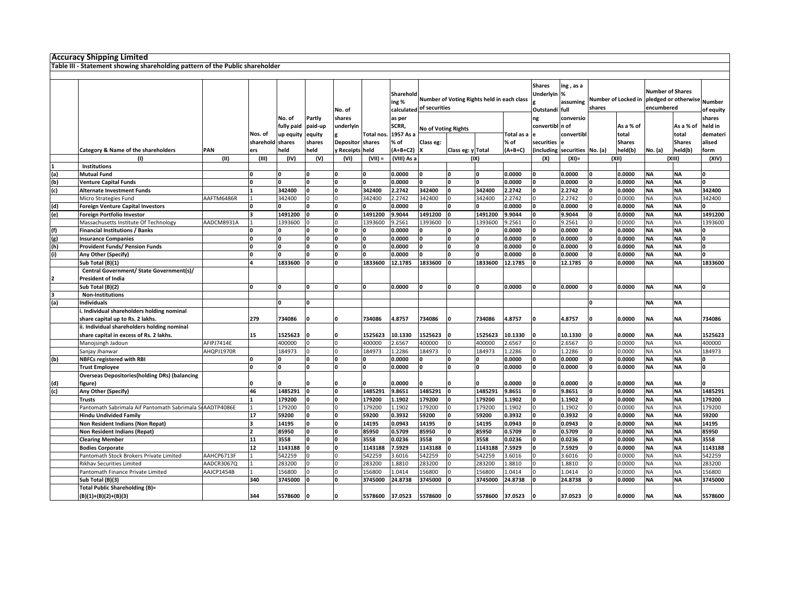| <b>Accuracy Shipping Limited</b>                                                |            |                  |            |         |                  |            |             |                                                                        |                   |         |            |                 |                               |          |                                                 |                         |               |           |
|---------------------------------------------------------------------------------|------------|------------------|------------|---------|------------------|------------|-------------|------------------------------------------------------------------------|-------------------|---------|------------|-----------------|-------------------------------|----------|-------------------------------------------------|-------------------------|---------------|-----------|
| Table III - Statement showing shareholding pattern of the Public shareholder    |            |                  |            |         |                  |            |             |                                                                        |                   |         |            |                 |                               |          |                                                 |                         |               |           |
|                                                                                 |            |                  |            |         |                  |            |             |                                                                        |                   |         |            |                 |                               |          |                                                 |                         |               |           |
|                                                                                 |            |                  |            |         |                  |            |             |                                                                        |                   |         |            | <b>Shares</b>   | ing, as a                     |          |                                                 | <b>Number of Shares</b> |               |           |
|                                                                                 |            |                  |            |         |                  |            | Sharehold   |                                                                        |                   |         |            | Underlyin %     |                               |          | Number of Locked in pledged or otherwise Number |                         |               |           |
|                                                                                 |            |                  |            |         |                  |            | ing %       | Number of Voting Rights held in each class<br>calculated of securities |                   |         |            | assuming        | shares                        |          | encumbered                                      |                         |               |           |
|                                                                                 |            |                  |            |         | No. of           |            |             |                                                                        |                   |         |            | Outstandi full  |                               |          |                                                 |                         |               | of equity |
|                                                                                 |            |                  | No. of     | Partly  | shares           |            | as per      |                                                                        |                   |         |            | ng              | conversio                     |          |                                                 |                         |               | shares    |
|                                                                                 |            |                  | fully paid | paid-up | underlyin        |            | SCRR,       | <b>No of Voting Rights</b>                                             |                   |         |            | convertibl n of |                               |          | As a % of                                       |                         | As a % of     | held in   |
|                                                                                 |            | Nos. of          | up equity  | equity  |                  | Total nos. | 1957 As a   |                                                                        |                   |         | Total as a |                 | convertibl                    |          | total                                           |                         | total         | demateri  |
|                                                                                 |            | sharehold shares |            | shares  | Depositor shares |            | % of        | Class eg:                                                              |                   |         | % of       | securities      |                               |          | <b>Shares</b>                                   |                         | <b>Shares</b> | alised    |
| Category & Name of the shareholders                                             | PAN        | ers              | held       | held    | y Receipts held  |            | $(A+B+C2)$  |                                                                        | Class eg: y Total |         | $(A+B+C)$  |                 | (including securities No. (a) |          | held(b)                                         | No. (a)                 | held(b)       | form      |
| (1)                                                                             | (11)       | (III)            | (IV)       | (V)     | (VI)             | $(VII) =$  | (VIII) As a |                                                                        |                   | (IX)    |            | (X)             | $(XI) =$                      |          | (XII)                                           |                         | (XIII)        | (X V)     |
| <b>Institutions</b>                                                             |            |                  |            |         |                  |            |             |                                                                        |                   |         |            |                 |                               |          |                                                 |                         |               |           |
| <b>Mutual Fund</b>                                                              |            |                  |            |         |                  |            | 0.0000      |                                                                        | 'n                |         | 0.0000     |                 | 0.0000                        |          | 0.0000                                          | <b>NA</b>               | <b>NA</b>     |           |
| <b>Venture Capital Funds</b>                                                    |            |                  |            |         |                  |            | 0.0000      |                                                                        |                   |         | 0.0000     | o               | 0.0000                        | ١O       | 0.0000                                          | <b>NA</b>               | ΝA            |           |
| <b>Alternate Investment Funds</b>                                               |            |                  | 342400     |         |                  | 342400     | 2.2742      | 342400                                                                 |                   | 342400  | 2.2742     |                 | 2.2742                        | n        | 0.0000                                          | <b>NA</b>               | <b>NA</b>     | 342400    |
| Micro Strategies Fund                                                           | AAFTM6486R |                  | 342400     |         |                  | 342400     | 2.2742      | 342400                                                                 |                   | 342400  | 2.2742     |                 | 2.2742                        |          | 0.0000                                          | <b>NA</b>               | <b>NA</b>     | 342400    |
| <b>Foreign Venture Capital Investors</b>                                        |            |                  |            |         |                  |            | 0.0000      |                                                                        |                   |         | 0.0000     | I۵              | 0.0000                        | n        | 0.0000                                          | <b>NA</b>               | <b>NA</b>     |           |
| Foreign Portfolio Investor                                                      |            |                  | 1491200    |         |                  | 1491200    | 9.9044      | 1491200                                                                |                   | 1491200 | 9.9044     |                 | 9.9044                        |          | 0.0000                                          | <b>NA</b>               | NΑ            | 1491200   |
| Massachusetts Institute Of Technology                                           | AADCM8931A |                  | 1393600    |         |                  | 1393600    | 9.2561      | 1393600                                                                |                   | 1393600 | 9.2561     |                 | 9.2561                        | $\Omega$ | 0.0000                                          | <b>NA</b>               | <b>NA</b>     | 1393600   |
| <b>Financial Institutions / Banks</b>                                           |            |                  |            |         |                  |            | 0.0000      |                                                                        |                   |         | 0.0000     |                 | 0.0000                        |          | 0.0000                                          | <b>NA</b>               | <b>NA</b>     |           |
| <b>Insurance Companies</b>                                                      |            |                  |            | I∩      | n                | O          | 0.0000      | 0.                                                                     | 0.                | n       | 0.0000     | n               | 0.0000                        | n        | 0.0000                                          | <b>NA</b>               | <b>NA</b>     | l0.       |
| Provident Funds/ Pension Funds                                                  |            |                  |            |         |                  |            | 0.0000      |                                                                        |                   | n       | 0.0000     |                 | 0.0000                        |          | 0.0000                                          | <b>NA</b>               | ΝA            | n         |
| Any Other (Specify)                                                             |            |                  |            |         |                  |            | 0.0000      |                                                                        |                   |         | 0.0000     |                 | 0.0000                        |          | 0.0000                                          | <b>NA</b>               | <b>NA</b>     |           |
| Sub Total (B)(1)                                                                |            |                  | 1833600    |         | O                | 1833600    | 12.1785     | 1833600                                                                |                   | 1833600 | 12.1785    |                 | 12.1785                       | I۵       | 0.0000                                          | <b>NA</b>               | ΝA            | 1833600   |
| Central Government/ State Government(s)/                                        |            |                  |            |         |                  |            |             |                                                                        |                   |         |            |                 |                               |          |                                                 |                         |               |           |
| <b>President of India</b>                                                       |            |                  |            |         |                  |            |             |                                                                        |                   |         |            |                 |                               |          |                                                 |                         |               |           |
| Sub Total (B)(2)                                                                |            |                  |            |         |                  | O          | 0.0000      |                                                                        | n                 | O       | 0.0000     | I٥              | 0.0000                        | O        | 0.0000                                          | <b>NA</b>               | <b>NA</b>     | O         |
| <b>Non-Institutions</b>                                                         |            |                  |            |         |                  |            |             |                                                                        |                   |         |            |                 |                               |          |                                                 |                         |               |           |
| <b>Individuals</b>                                                              |            |                  | n          | n       |                  |            |             |                                                                        |                   |         |            |                 |                               | n        |                                                 | <b>NA</b>               | <b>NA</b>     |           |
| i. Individual shareholders holding nominal                                      |            |                  |            |         |                  |            |             |                                                                        |                   |         |            |                 |                               |          |                                                 |                         |               |           |
|                                                                                 |            | 279              | 734086     |         |                  | 734086     | 4.8757      | 734086                                                                 |                   | 734086  | 4.8757     |                 | 4.8757                        |          | 0.0000                                          | <b>NA</b>               |               | 734086    |
| share capital up to Rs. 2 lakhs.<br>ii. Individual shareholders holding nominal |            |                  |            |         |                  |            |             |                                                                        |                   |         |            |                 |                               |          |                                                 |                         | <b>NA</b>     |           |
|                                                                                 |            |                  |            |         |                  |            |             |                                                                        |                   |         |            |                 |                               |          |                                                 |                         |               |           |
| share capital in excess of Rs. 2 lakhs.                                         |            | 15               | 1525623    |         |                  | 1525623    | 10.1330     | 1525623                                                                |                   | 1525623 | 10.1330    |                 | 10.1330                       |          | 0.0000                                          | <b>NA</b>               | ΝA            | 1525623   |
| Manojsingh Jadoun                                                               | AFIPJ7414E |                  | 400000     |         |                  | 400000     | 2.6567      | 400000                                                                 |                   | 400000  | 2.6567     |                 | 2.6567                        |          | 0.0000                                          | <b>NA</b>               | NΑ            | 400000    |
| Sanjay Jhanwar                                                                  | AHQPJ1970R |                  | 184973     |         |                  | 184973     | 1.2286      | 184973                                                                 |                   | 184973  | 1.2286     |                 | 1.2286                        |          | 0.0000                                          | <b>NA</b>               | ΝA            | 184973    |
| <b>NBFCs registered with RBI</b>                                                |            |                  |            |         |                  |            | 0.0000      |                                                                        |                   |         | 0.0000     |                 | 0.0000                        |          | 0.0000                                          | <b>NA</b>               | <b>NA</b>     |           |
| <b>Trust Employee</b>                                                           |            |                  | n          | n       | O                | 0          | 0.0000      | 0                                                                      | 0.                | O       | 0.0000     | n               | 0.0000                        | O        | 0.0000                                          | <b>NA</b>               | <b>NA</b>     | ١o        |
| <b>Overseas Depositories (holding DRs) (balancing</b>                           |            |                  |            |         |                  |            |             |                                                                        |                   |         |            |                 |                               |          |                                                 |                         |               |           |
| figure)                                                                         |            |                  |            |         |                  |            | 0.0000      |                                                                        |                   |         | 0.0000     |                 | 0.0000                        |          | 0.0000                                          | <b>NA</b>               | <b>NA</b>     |           |
| Any Other (Specify)                                                             |            | 46               | 1485291    |         | 0                | 1485291    | 9.8651      | 1485291                                                                | n                 | 1485291 | 9.8651     | O               | 9.8651                        | O        | 0.0000                                          | <b>NA</b>               | <b>NA</b>     | 1485291   |
| <b>Trusts</b>                                                                   |            |                  | 179200     |         |                  | 179200     | 1.1902      | 179200                                                                 |                   | 179200  | 1.1902     |                 | 1.1902                        |          | 0.0000                                          | <b>NA</b>               | <b>NA</b>     | 179200    |
| Pantomath Sabrimala Aif Pantomath Sabrimala SIAADTP4086E                        |            |                  | 179200     |         |                  | 179200     | 1.1902      | 179200                                                                 |                   | 179200  | 1.1902     |                 | 1.1902                        |          | 0.0000                                          | <b>NA</b>               | <b>NA</b>     | 179200    |
| <b>Hindu Undivided Family</b>                                                   |            | 17               | 59200      |         |                  | 59200      | 0.3932      | 59200                                                                  |                   | 59200   | 0.3932     |                 | 0.3932                        |          | 0.0000                                          | <b>NA</b>               | NΑ            | 59200     |
| Non Resident Indians (Non Repat)                                                |            |                  | 14195      |         |                  | 14195      | 0.0943      | 14195                                                                  |                   | 14195   | 0.0943     |                 | 0.0943                        | n        | 0.0000                                          | <b>NA</b>               | <b>NA</b>     | 14195     |
| Non Resident Indians (Repat)                                                    |            |                  | 85950      | n       | 'n               | 85950      | 0.5709      | 85950                                                                  | n                 | 85950   | 0.5709     | n               | 0.5709                        | n        | 0.0000                                          | <b>NA</b>               | <b>NA</b>     | 85950     |
| <b>Clearing Member</b>                                                          |            | 11               | 3558       |         | U                | 3558       | 0.0236      | 3558                                                                   |                   | 3558    | 0.0236     | I۵              | 0.0236                        | n        | 0.0000                                          | <b>NA</b>               | ΝA            | 3558      |
| <b>Bodies Corporate</b>                                                         |            | 12               | 1143188    |         | O                | 1143188    | 7.5929      | 1143188                                                                |                   | 1143188 | 7.5929     |                 | 7.5929                        | <b>n</b> | 0.0000                                          | <b>NA</b>               | ΝA            | 1143188   |
| Pantomath Stock Brokers Private Limited                                         | AAHCP6713F |                  | 542259     |         |                  | 542259     | 3.6016      | 542259                                                                 |                   | 542259  | 3.6016     |                 | 3.6016                        | In       | 0.0000                                          | <b>NA</b>               | ΝA            | 542259    |
| <b>Rikhav Securities Limited</b>                                                | AADCR3067Q |                  | 283200     |         |                  | 283200     | 1.8810      | 283200                                                                 |                   | 283200  | 1.8810     |                 | 1.8810                        |          | 0.0000                                          | <b>NA</b>               | <b>NA</b>     | 283200    |
| Pantomath Finance Private Limited                                               | AAJCP1454B |                  | 156800     |         |                  | 156800     | 1.0414      | 156800                                                                 |                   | 156800  | 1.0414     |                 | 1.0414                        |          | 0.0000                                          | <b>NA</b>               | <b>NA</b>     | 156800    |
| Sub Total (B)(3)                                                                |            | 340              | 3745000    |         |                  | 3745000    | 24.8738     | 3745000                                                                |                   | 3745000 | 24.8738    |                 | 24.8738                       |          | 0.0000                                          | <b>NA</b>               | ΝA            | 3745000   |
| Total Public Shareholding (B)=                                                  |            |                  |            |         |                  |            |             |                                                                        |                   |         |            |                 |                               |          |                                                 |                         |               |           |
| $(B)(1)+(B)(2)+(B)(3)$                                                          |            | 344              | 5578600    |         |                  | 5578600    | 37.0523     | 5578600                                                                |                   | 5578600 | 37.0523    |                 | 37.0523                       |          | 0.0000                                          | <b>NA</b>               | <b>NA</b>     | 5578600   |